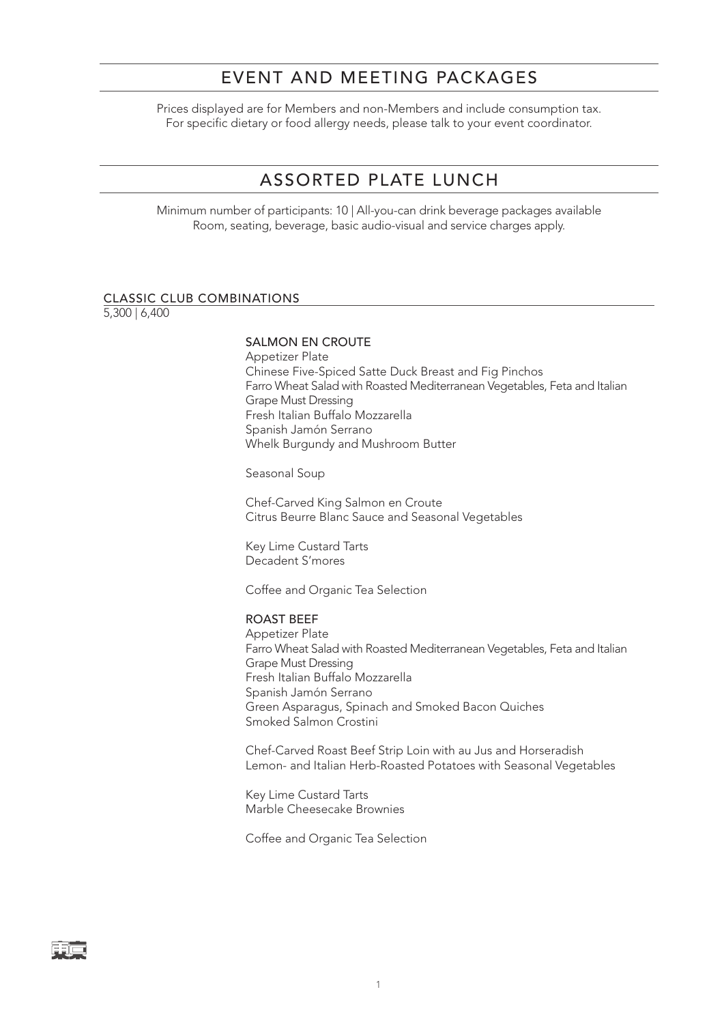## EVENT AND MEETING PACKAGES

Prices displayed are for Members and non-Members and include consumption tax. For specific dietary or food allergy needs, please talk to your event coordinator.

# ASSORTED PLATE LUNCH

Minimum number of participants: 10 | All-you-can drink beverage packages available Room, seating, beverage, basic audio-visual and service charges apply.

#### CLASSIC CLUB COMBINATIONS

5,300 | 6,400

### SALMON EN CROUTE

Appetizer Plate Chinese Five-Spiced Satte Duck Breast and Fig Pinchos Farro Wheat Salad with Roasted Mediterranean Vegetables, Feta and Italian Grape Must Dressing Fresh Italian Buffalo Mozzarella Spanish Jamón Serrano Whelk Burgundy and Mushroom Butter

Seasonal Soup

Chef-Carved King Salmon en Croute Citrus Beurre Blanc Sauce and Seasonal Vegetables

Key Lime Custard Tarts Decadent S'mores

Coffee and Organic Tea Selection

### ROAST BEEF

Appetizer Plate Farro Wheat Salad with Roasted Mediterranean Vegetables, Feta and Italian Grape Must Dressing Fresh Italian Buffalo Mozzarella Spanish Jamón Serrano Green Asparagus, Spinach and Smoked Bacon Quiches Smoked Salmon Crostini

Chef-Carved Roast Beef Strip Loin with au Jus and Horseradish Lemon- and Italian Herb-Roasted Potatoes with Seasonal Vegetables

Key Lime Custard Tarts Marble Cheesecake Brownies

Coffee and Organic Tea Selection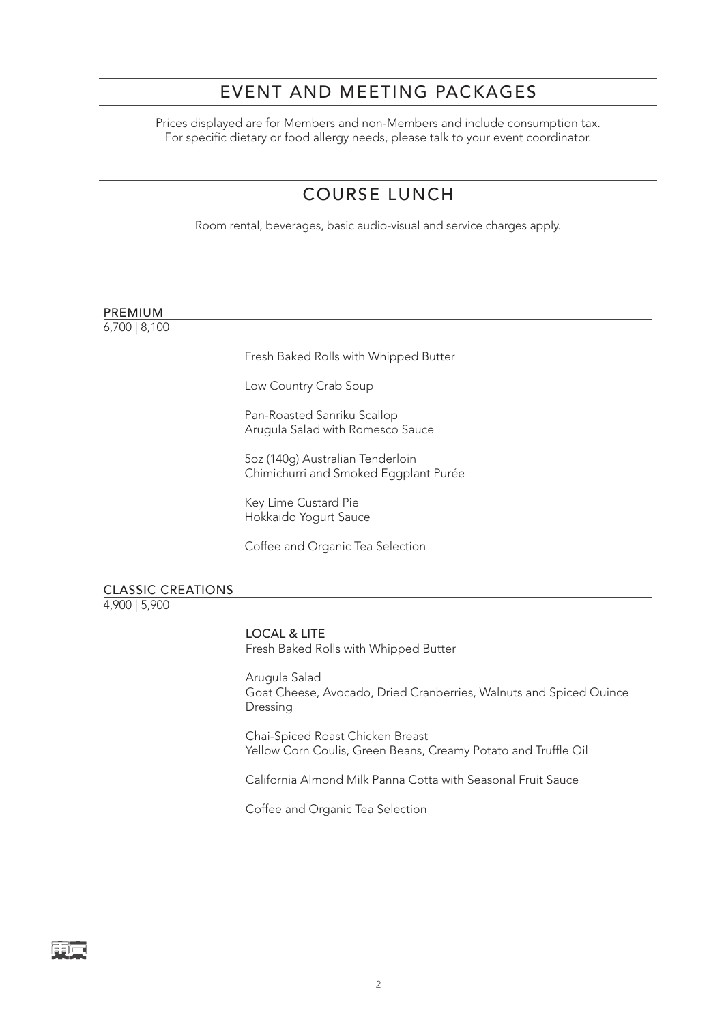# EVENT AND MEETING PACKAGES

Prices displayed are for Members and non-Members and include consumption tax. For specific dietary or food allergy needs, please talk to your event coordinator.

# COURSE LUNCH

Room rental, beverages, basic audio-visual and service charges apply.

## PREMIUM

6,700 | 8,100

Fresh Baked Rolls with Whipped Butter

Low Country Crab Soup

Pan-Roasted Sanriku Scallop Arugula Salad with Romesco Sauce

5oz (140g) Australian Tenderloin Chimichurri and Smoked Eggplant Purée

Key Lime Custard Pie Hokkaido Yogurt Sauce

Coffee and Organic Tea Selection

CLASSIC CREATIONS 4,900 | 5,900

> LOCAL & LITE Fresh Baked Rolls with Whipped Butter

Arugula Salad Goat Cheese, Avocado, Dried Cranberries, Walnuts and Spiced Quince Dressing

Chai-Spiced Roast Chicken Breast Yellow Corn Coulis, Green Beans, Creamy Potato and Truffle Oil

California Almond Milk Panna Cotta with Seasonal Fruit Sauce

Coffee and Organic Tea Selection